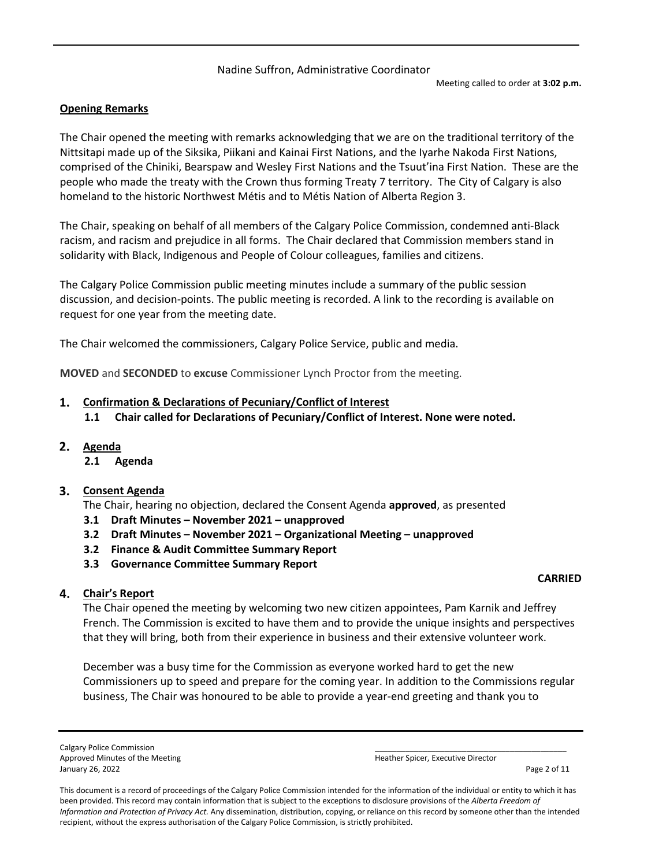#### Nadine Suffron, Administrative Coordinator

#### **Opening Remarks**

The Chair opened the meeting with remarks acknowledging that we are on the traditional territory of the Nittsitapi made up of the Siksika, Piikani and Kainai First Nations, and the Iyarhe Nakoda First Nations, comprised of the Chiniki, Bearspaw and Wesley First Nations and the Tsuut'ina First Nation. These are the people who made the treaty with the Crown thus forming Treaty 7 territory. The City of Calgary is also homeland to the historic Northwest Métis and to Métis Nation of Alberta Region 3.

The Chair, speaking on behalf of all members of the Calgary Police Commission, condemned anti-Black racism, and racism and prejudice in all forms. The Chair declared that Commission members stand in solidarity with Black, Indigenous and People of Colour colleagues, families and citizens.

The Calgary Police Commission public meeting minutes include a summary of the public session discussion, and decision-points. The public meeting is recorded. A link to the recording is available on request for one year from the meeting date.

The Chair welcomed the commissioners, Calgary Police Service, public and media.

**MOVED** and **SECONDED** to **excuse** Commissioner Lynch Proctor from the meeting.

#### **Confirmation & Declarations of Pecuniary/Conflict of Interest**

- **1.1 Chair called for Declarations of Pecuniary/Conflict of Interest. None were noted.**
- **Agenda** 
	- **2.1 Agenda**

## **Consent Agenda**

The Chair, hearing no objection, declared the Consent Agenda **approved**, as presented

- **3.1 Draft Minutes November 2021 unapproved**
- **3.2 Draft Minutes November 2021 Organizational Meeting unapproved**
- **3.2 Finance & Audit Committee Summary Report**
- **3.3 Governance Committee Summary Report**

#### **CARRIED**

## **Chair's Report**

The Chair opened the meeting by welcoming two new citizen appointees, Pam Karnik and Jeffrey French. The Commission is excited to have them and to provide the unique insights and perspectives that they will bring, both from their experience in business and their extensive volunteer work.

December was a busy time for the Commission as everyone worked hard to get the new Commissioners up to speed and prepare for the coming year. In addition to the Commissions regular business, The Chair was honoured to be able to provide a year-end greeting and thank you to

Calgary Police Commission Approved Minutes of the Meeting

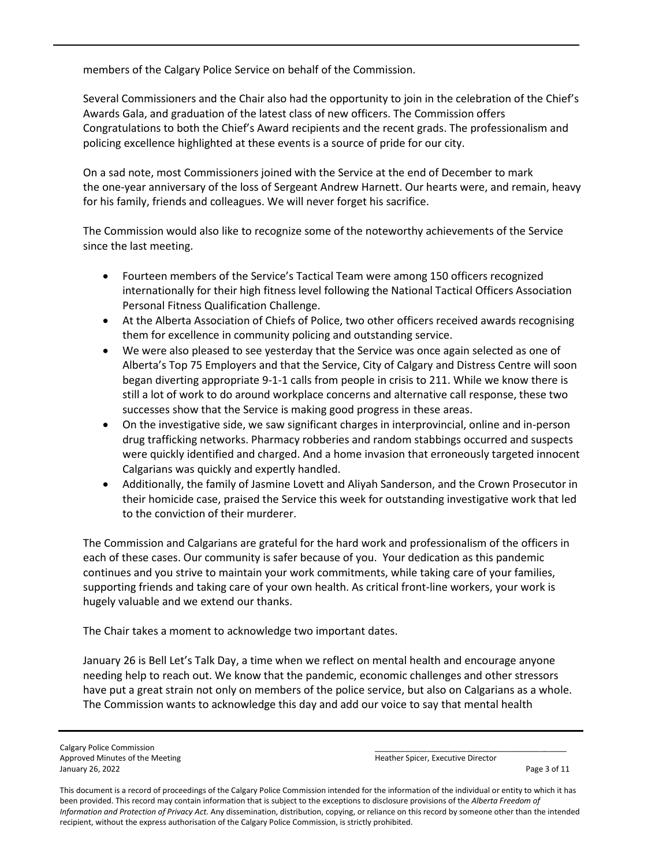members of the Calgary Police Service on behalf of the Commission.

Several Commissioners and the Chair also had the opportunity to join in the celebration of the Chief's Awards Gala, and graduation of the latest class of new officers. The Commission offers Congratulations to both the Chief's Award recipients and the recent grads. The professionalism and policing excellence highlighted at these events is a source of pride for our city.

On a sad note, most Commissioners joined with the Service at the end of December to mark the one-year anniversary of the loss of Sergeant Andrew Harnett. Our hearts were, and remain, heavy for his family, friends and colleagues. We will never forget his sacrifice.

The Commission would also like to recognize some of the noteworthy achievements of the Service since the last meeting.

- Fourteen members of the Service's Tactical Team were among 150 officers recognized internationally for their high fitness level following the National Tactical Officers Association Personal Fitness Qualification Challenge.
- At the Alberta Association of Chiefs of Police, two other officers received awards recognising them for excellence in community policing and outstanding service.
- We were also pleased to see yesterday that the Service was once again selected as one of Alberta's Top 75 Employers and that the Service, City of Calgary and Distress Centre will soon began diverting appropriate 9-1-1 calls from people in crisis to 211. While we know there is still a lot of work to do around workplace concerns and alternative call response, these two successes show that the Service is making good progress in these areas.
- On the investigative side, we saw significant charges in interprovincial, online and in-person drug trafficking networks. Pharmacy robberies and random stabbings occurred and suspects were quickly identified and charged. And a home invasion that erroneously targeted innocent Calgarians was quickly and expertly handled.
- Additionally, the family of Jasmine Lovett and Aliyah Sanderson, and the Crown Prosecutor in their homicide case, praised the Service this week for outstanding investigative work that led to the conviction of their murderer.

The Commission and Calgarians are grateful for the hard work and professionalism of the officers in each of these cases. Our community is safer because of you. Your dedication as this pandemic continues and you strive to maintain your work commitments, while taking care of your families, supporting friends and taking care of your own health. As critical front-line workers, your work is hugely valuable and we extend our thanks.

The Chair takes a moment to acknowledge two important dates.

January 26 is Bell Let's Talk Day, a time when we reflect on mental health and encourage anyone needing help to reach out. We know that the pandemic, economic challenges and other stressors have put a great strain not only on members of the police service, but also on Calgarians as a whole. The Commission wants to acknowledge this day and add our voice to say that mental health

Calgary Police Commission and the Meeting and the Commission and the Commission of the Meeting of the Meeting of the Meeting of the Meeting of the Meeting of the Meeting of the Meeting of the Meeting of the Meeting of the Approved Minutes of the Meeting January 26, 2022 Page 3 of 11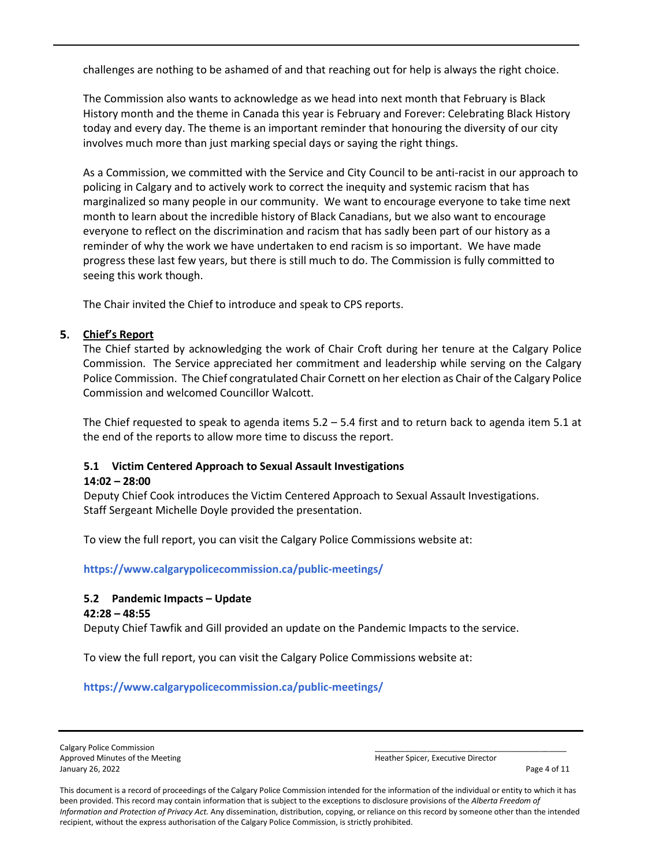challenges are nothing to be ashamed of and that reaching out for help is always the right choice.

The Commission also wants to acknowledge as we head into next month that February is Black History month and the theme in Canada this year is February and Forever: Celebrating Black History today and every day. The theme is an important reminder that honouring the diversity of our city involves much more than just marking special days or saying the right things.

As a Commission, we committed with the Service and City Council to be anti-racist in our approach to policing in Calgary and to actively work to correct the inequity and systemic racism that has marginalized so many people in our community. We want to encourage everyone to take time next month to learn about the incredible history of Black Canadians, but we also want to encourage everyone to reflect on the discrimination and racism that has sadly been part of our history as a reminder of why the work we have undertaken to end racism is so important. We have made progress these last few years, but there is still much to do. The Commission is fully committed to seeing this work though.

The Chair invited the Chief to introduce and speak to CPS reports.

# **Chief's Report**

The Chief started by acknowledging the work of Chair Croft during her tenure at the Calgary Police Commission. The Service appreciated her commitment and leadership while serving on the Calgary Police Commission. The Chief congratulated Chair Cornett on her election as Chair of the Calgary Police Commission and welcomed Councillor Walcott.

The Chief requested to speak to agenda items 5.2 – 5.4 first and to return back to agenda item 5.1 at the end of the reports to allow more time to discuss the report.

# **5.1 Victim Centered Approach to Sexual Assault Investigations**

# **14:02 – 28:00**

Deputy Chief Cook introduces the Victim Centered Approach to Sexual Assault Investigations. Staff Sergeant Michelle Doyle provided the presentation.

To view the full report, you can visit the Calgary Police Commissions website at:

**<https://www.calgarypolicecommission.ca/public-meetings/>**

# **5.2 Pandemic Impacts – Update**

## **42:28 – 48:55**

Deputy Chief Tawfik and Gill provided an update on the Pandemic Impacts to the service.

To view the full report, you can visit the Calgary Police Commissions website at:

**<https://www.calgarypolicecommission.ca/public-meetings/>**

Calgary Police Commission Approved Minutes of the Meeting January 26, 2022 Page 4 of 11

| Courtive Director<br>Coicar<br>.<br>.<br>- 11 |  |
|-----------------------------------------------|--|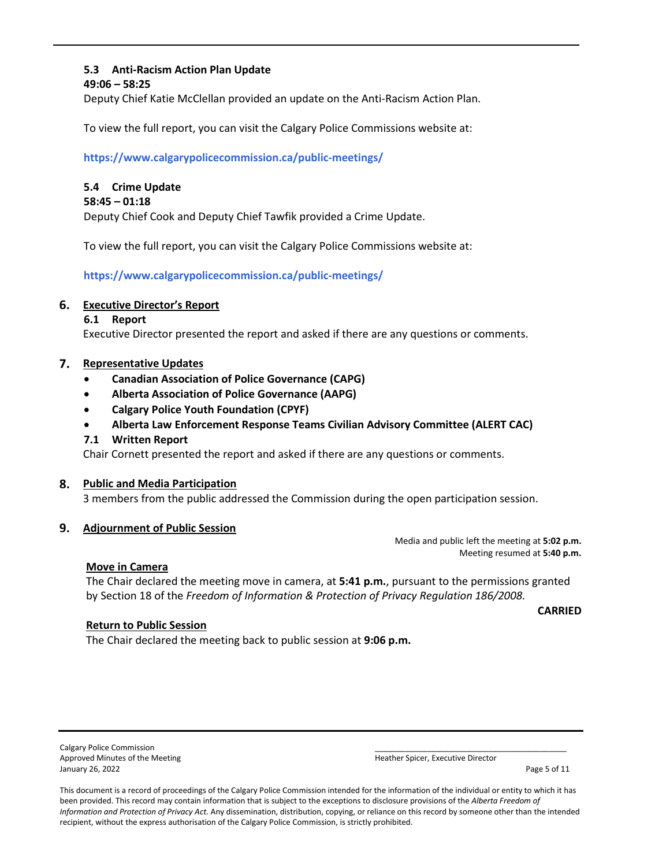# **5.3 Anti-Racism Action Plan Update**

#### **49:06 – 58:25**

Deputy Chief Katie McClellan provided an update on the Anti-Racism Action Plan.

To view the full report, you can visit the Calgary Police Commissions website at:

**<https://www.calgarypolicecommission.ca/public-meetings/>**

## **5.4 Crime Update**

#### **58:45 – 01:18**

Deputy Chief Cook and Deputy Chief Tawfik provided a Crime Update.

To view the full report, you can visit the Calgary Police Commissions website at:

**<https://www.calgarypolicecommission.ca/public-meetings/>**

#### **Executive Director's Report**

#### **6.1 Report**

Executive Director presented the report and asked if there are any questions or comments.

#### **Representative Updates**

- **Canadian Association of Police Governance (CAPG)**
- **Alberta Association of Police Governance (AAPG)**
- **Calgary Police Youth Foundation (CPYF)**
- **Alberta Law Enforcement Response Teams Civilian Advisory Committee (ALERT CAC)**

#### **7.1 Written Report**

Chair Cornett presented the report and asked if there are any questions or comments.

#### **Public and Media Participation**

3 members from the public addressed the Commission during the open participation session.

#### **Adjournment of Public Session**

Media and public left the meeting at **5:02 p.m.**  Meeting resumed at **5:40 p.m.** 

#### **Move in Camera**

The Chair declared the meeting move in camera, at **5:41 p.m.**, pursuant to the permissions granted by Section 18 of the *Freedom of Information & Protection of Privacy Regulation 186/2008.*

**CARRIED**

# **Return to Public Session**

The Chair declared the meeting back to public session at **9:06 p.m.**

Calgary Police Commission and the Meeting and the Community of the Community of the Community of the Meeting of the Meeting of the Meeting of the Meeting of the Meeting of the Meeting of the Meeting of the Meeting of the M Approved Minutes of the Meeting January 26, 2022 Page 5 of 11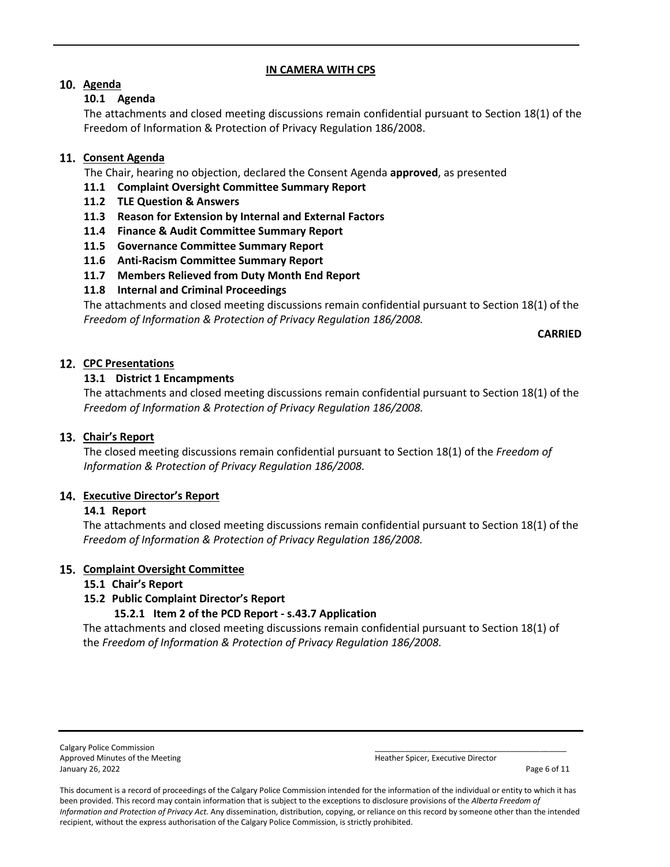#### **IN CAMERA WITH CPS**

# **Agenda**

## **10.1 Agenda**

The attachments and closed meeting discussions remain confidential pursuant to Section 18(1) of the Freedom of Information & Protection of Privacy Regulation 186/2008.

# 11. Consent Agenda

The Chair, hearing no objection, declared the Consent Agenda **approved**, as presented

- **11.1 Complaint Oversight Committee Summary Report**
- **11.2 TLE Question & Answers**
- **11.3 Reason for Extension by Internal and External Factors**
- **11.4 Finance & Audit Committee Summary Report**
- **11.5 Governance Committee Summary Report**
- **11.6 Anti-Racism Committee Summary Report**
- **11.7 Members Relieved from Duty Month End Report**
- **11.8 Internal and Criminal Proceedings**

The attachments and closed meeting discussions remain confidential pursuant to Section 18(1) of the *Freedom of Information & Protection of Privacy Regulation 186/2008.*

**CARRIED**

# **CPC Presentations**

# **13.1 District 1 Encampments**

The attachments and closed meeting discussions remain confidential pursuant to Section 18(1) of the *Freedom of Information & Protection of Privacy Regulation 186/2008.*

## 13. Chair's Report

The closed meeting discussions remain confidential pursuant to Section 18(1) of the *Freedom of Information & Protection of Privacy Regulation 186/2008.*

## **Executive Director's Report**

## **14.1 Report**

The attachments and closed meeting discussions remain confidential pursuant to Section 18(1) of the *Freedom of Information & Protection of Privacy Regulation 186/2008.*

## **15. Complaint Oversight Committee**

## **15.1 Chair's Report**

## **15.2 Public Complaint Director's Report**

## **15.2.1 Item 2 of the PCD Report - s.43.7 Application**

The attachments and closed meeting discussions remain confidential pursuant to Section 18(1) of the *Freedom of Information & Protection of Privacy Regulation 186/2008.*

Calgary Police Commission Approved Minutes of the Meeting January 26, 2022 Page 6 of 11

| <b>Heather Spicer Executive Director</b> |  |
|------------------------------------------|--|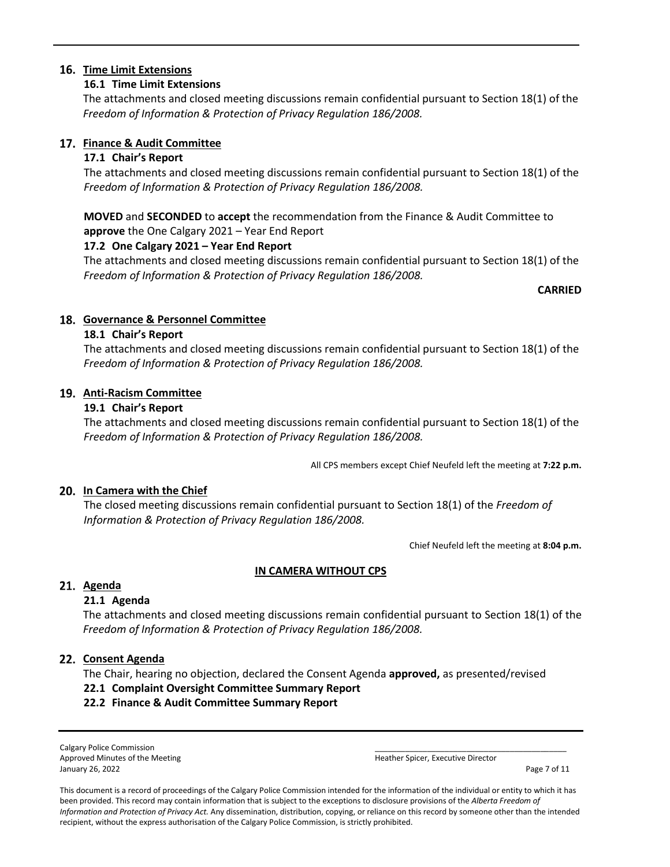## **Time Limit Extensions**

## **16.1 Time Limit Extensions**

The attachments and closed meeting discussions remain confidential pursuant to Section 18(1) of the *Freedom of Information & Protection of Privacy Regulation 186/2008.*

## **Finance & Audit Committee**

## **17.1 Chair's Report**

The attachments and closed meeting discussions remain confidential pursuant to Section 18(1) of the *Freedom of Information & Protection of Privacy Regulation 186/2008.*

**MOVED** and **SECONDED** to **accept** the recommendation from the Finance & Audit Committee to **approve** the One Calgary 2021 – Year End Report

# **17.2 One Calgary 2021 – Year End Report**

The attachments and closed meeting discussions remain confidential pursuant to Section 18(1) of the *Freedom of Information & Protection of Privacy Regulation 186/2008.*

**CARRIED**

# **Governance & Personnel Committee**

## **18.1 Chair's Report**

The attachments and closed meeting discussions remain confidential pursuant to Section 18(1) of the *Freedom of Information & Protection of Privacy Regulation 186/2008.*

## **Anti-Racism Committee**

## **19.1 Chair's Report**

The attachments and closed meeting discussions remain confidential pursuant to Section 18(1) of the *Freedom of Information & Protection of Privacy Regulation 186/2008.*

All CPS members except Chief Neufeld left the meeting at **7:22 p.m.**

# **In Camera with the Chief**

The closed meeting discussions remain confidential pursuant to Section 18(1) of the *Freedom of Information & Protection of Privacy Regulation 186/2008.*

Chief Neufeld left the meeting at **8:04 p.m.** 

## **IN CAMERA WITHOUT CPS**

# 21. Agenda

# **21.1 Agenda**

The attachments and closed meeting discussions remain confidential pursuant to Section 18(1) of the *Freedom of Information & Protection of Privacy Regulation 186/2008.*

## **Consent Agenda**

The Chair, hearing no objection, declared the Consent Agenda **approved,** as presented/revised

## **22.1 Complaint Oversight Committee Summary Report**

# **22.2 Finance & Audit Committee Summary Report**

Calgary Police Commission Approved Minutes of the Meeting January 26, 2022 **Page 7 of 11** 

| har Cnicar, Eventiva Diractor |  |
|-------------------------------|--|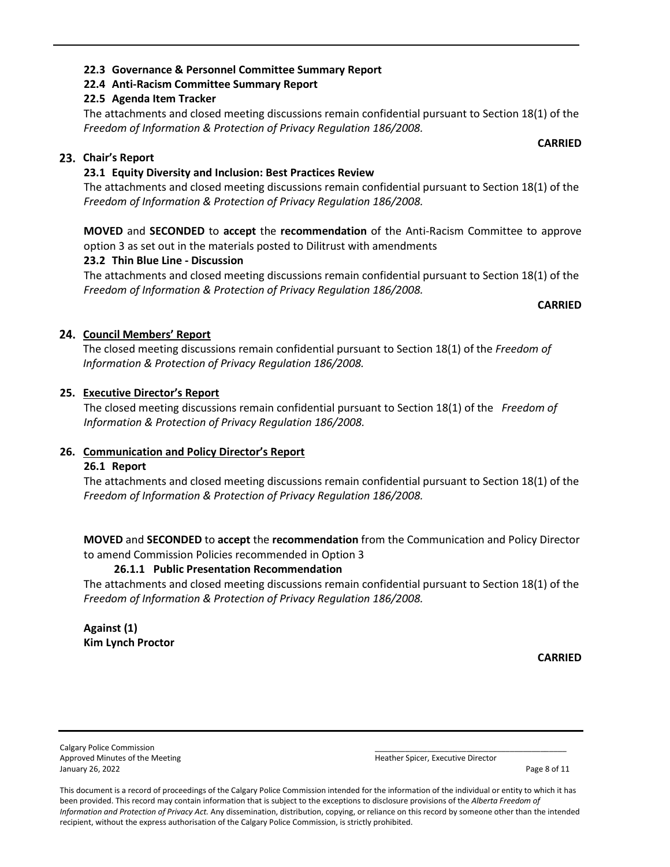# **22.3 Governance & Personnel Committee Summary Report**

# **22.4 Anti-Racism Committee Summary Report**

# **22.5 Agenda Item Tracker**

The attachments and closed meeting discussions remain confidential pursuant to Section 18(1) of the *Freedom of Information & Protection of Privacy Regulation 186/2008.*

# **Chair's Report**

# **23.1 Equity Diversity and Inclusion: Best Practices Review**

The attachments and closed meeting discussions remain confidential pursuant to Section 18(1) of the *Freedom of Information & Protection of Privacy Regulation 186/2008.*

**MOVED** and **SECONDED** to **accept** the **recommendation** of the Anti-Racism Committee to approve option 3 as set out in the materials posted to Dilitrust with amendments

# **23.2 Thin Blue Line - Discussion**

The attachments and closed meeting discussions remain confidential pursuant to Section 18(1) of the *Freedom of Information & Protection of Privacy Regulation 186/2008.*

**CARRIED**

# **Council Members' Report**

The closed meeting discussions remain confidential pursuant to Section 18(1) of the *Freedom of Information & Protection of Privacy Regulation 186/2008.*

# **25. Executive Director's Report**

The closed meeting discussions remain confidential pursuant to Section 18(1) of the *Freedom of Information & Protection of Privacy Regulation 186/2008.*

# **26. Communication and Policy Director's Report**

# **26.1 Report**

The attachments and closed meeting discussions remain confidential pursuant to Section 18(1) of the *Freedom of Information & Protection of Privacy Regulation 186/2008.*

**MOVED** and **SECONDED** to **accept** the **recommendation** from the Communication and Policy Director to amend Commission Policies recommended in Option 3

# **26.1.1 Public Presentation Recommendation**

The attachments and closed meeting discussions remain confidential pursuant to Section 18(1) of the *Freedom of Information & Protection of Privacy Regulation 186/2008.*

**Against (1) Kim Lynch Proctor**

**CARRIED**

Calgary Police Commission Approved Minutes of the Meeting January 26, 2022 **Page 8 of 11** 

| Heather Spicer, Executive Director |  |
|------------------------------------|--|

This document is a record of proceedings of the Calgary Police Commission intended for the information of the individual or entity to which it has been provided. This record may contain information that is subject to the exceptions to disclosure provisions of the *Alberta Freedom of Information and Protection of Privacy Act.* Any dissemination, distribution, copying, or reliance on this record by someone other than the intended recipient, without the express authorisation of the Calgary Police Commission, is strictly prohibited.

**CARRIED**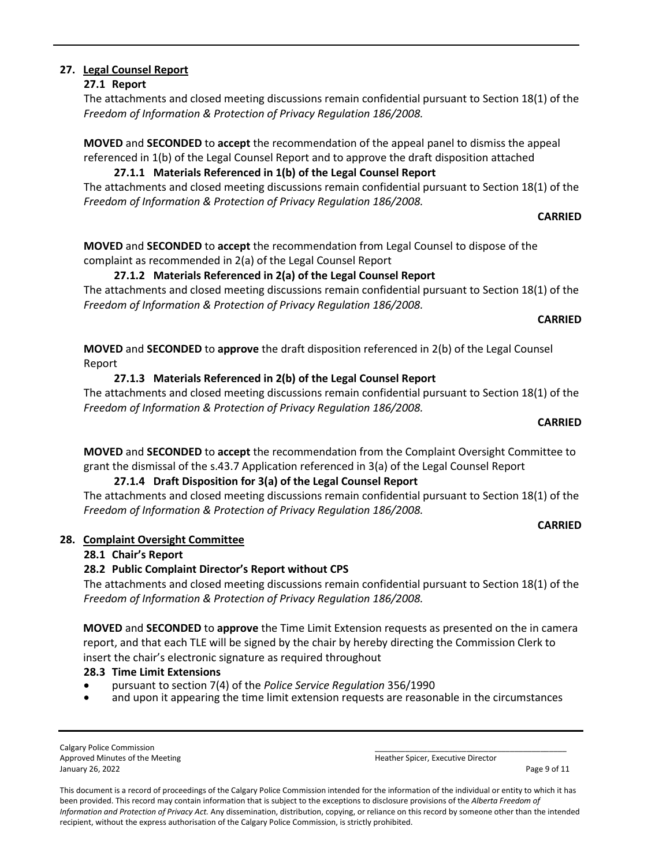# **27. Legal Counsel Report**

#### **27.1 Report**

The attachments and closed meeting discussions remain confidential pursuant to Section 18(1) of the *Freedom of Information & Protection of Privacy Regulation 186/2008.*

**MOVED** and **SECONDED** to **accept** the recommendation of the appeal panel to dismiss the appeal referenced in 1(b) of the Legal Counsel Report and to approve the draft disposition attached

# **27.1.1 Materials Referenced in 1(b) of the Legal Counsel Report**

The attachments and closed meeting discussions remain confidential pursuant to Section 18(1) of the *Freedom of Information & Protection of Privacy Regulation 186/2008.*

#### **CARRIED**

**MOVED** and **SECONDED** to **accept** the recommendation from Legal Counsel to dispose of the complaint as recommended in 2(a) of the Legal Counsel Report

**27.1.2 Materials Referenced in 2(a) of the Legal Counsel Report**

The attachments and closed meeting discussions remain confidential pursuant to Section 18(1) of the *Freedom of Information & Protection of Privacy Regulation 186/2008.*

#### **CARRIED**

**MOVED** and **SECONDED** to **approve** the draft disposition referenced in 2(b) of the Legal Counsel Report

## **27.1.3 Materials Referenced in 2(b) of the Legal Counsel Report**

The attachments and closed meeting discussions remain confidential pursuant to Section 18(1) of the *Freedom of Information & Protection of Privacy Regulation 186/2008.*

#### **CARRIED**

**MOVED** and **SECONDED** to **accept** the recommendation from the Complaint Oversight Committee to grant the dismissal of the s.43.7 Application referenced in 3(a) of the Legal Counsel Report

# **27.1.4 Draft Disposition for 3(a) of the Legal Counsel Report**

The attachments and closed meeting discussions remain confidential pursuant to Section 18(1) of the *Freedom of Information & Protection of Privacy Regulation 186/2008.*

#### **CARRIED**

## **28. Complaint Oversight Committee**

## **28.1 Chair's Report**

## **28.2 Public Complaint Director's Report without CPS**

The attachments and closed meeting discussions remain confidential pursuant to Section 18(1) of the *Freedom of Information & Protection of Privacy Regulation 186/2008.*

**MOVED** and **SECONDED** to **approve** the Time Limit Extension requests as presented on the in camera report, and that each TLE will be signed by the chair by hereby directing the Commission Clerk to insert the chair's electronic signature as required throughout

- **28.3 Time Limit Extensions**
- and upon it appearing the time limit extension requests are reasonable in the circumstances

Calgary Police Commission Approved Minutes of the Meeting January 26, 2022 **Page 9 of 11** 

| Heather Snicer, Executive Director |  |
|------------------------------------|--|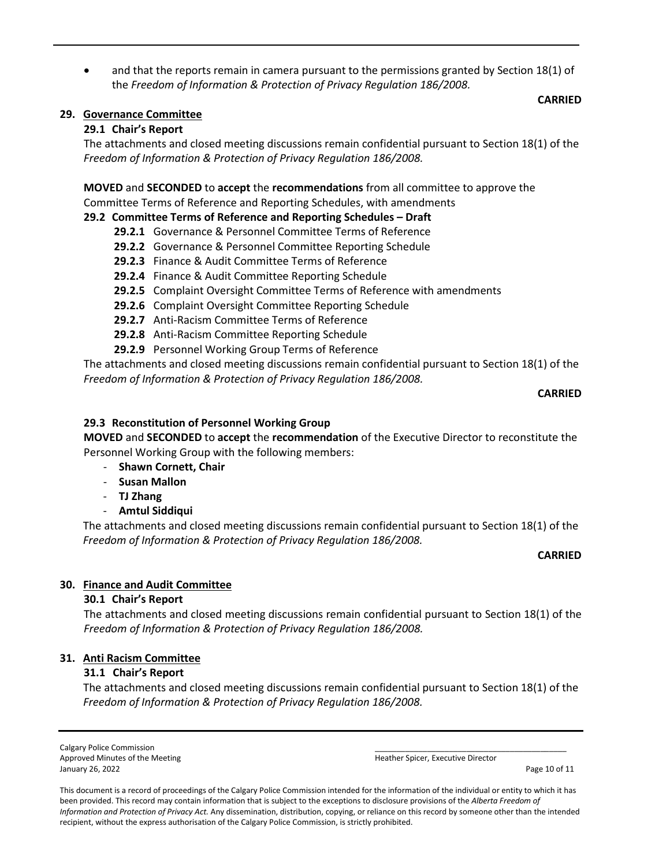• and that the reports remain in camera pursuant to the permissions granted by Section 18(1) of the *Freedom of Information & Protection of Privacy Regulation 186/2008.*

#### **CARRIED**

#### **29. Governance Committee**

#### **29.1 Chair's Report**

The attachments and closed meeting discussions remain confidential pursuant to Section 18(1) of the *Freedom of Information & Protection of Privacy Regulation 186/2008.*

#### **MOVED** and **SECONDED** to **accept** the **recommendations** from all committee to approve the Committee Terms of Reference and Reporting Schedules, with amendments

## **29.2 Committee Terms of Reference and Reporting Schedules – Draft**

- **29.2.1** Governance & Personnel Committee Terms of Reference
- **29.2.2** Governance & Personnel Committee Reporting Schedule
- **29.2.3** Finance & Audit Committee Terms of Reference
- **29.2.4** Finance & Audit Committee Reporting Schedule
- **29.2.5** Complaint Oversight Committee Terms of Reference with amendments
- **29.2.6** Complaint Oversight Committee Reporting Schedule
- **29.2.7** Anti-Racism Committee Terms of Reference
- **29.2.8** Anti-Racism Committee Reporting Schedule
- **29.2.9** Personnel Working Group Terms of Reference

The attachments and closed meeting discussions remain confidential pursuant to Section 18(1) of the *Freedom of Information & Protection of Privacy Regulation 186/2008.*

#### **CARRIED**

## **29.3 Reconstitution of Personnel Working Group**

**MOVED** and **SECONDED** to **accept** the **recommendation** of the Executive Director to reconstitute the Personnel Working Group with the following members:

- **Shawn Cornett, Chair**
- **Susan Mallon**
- **TJ Zhang**
- **Amtul Siddiqui**

The attachments and closed meeting discussions remain confidential pursuant to Section 18(1) of the *Freedom of Information & Protection of Privacy Regulation 186/2008.*

#### **CARRIED**

## **30. Finance and Audit Committee**

#### **30.1 Chair's Report**

The attachments and closed meeting discussions remain confidential pursuant to Section 18(1) of the *Freedom of Information & Protection of Privacy Regulation 186/2008.*

## **31. Anti Racism Committee**

## **31.1 Chair's Report**

The attachments and closed meeting discussions remain confidential pursuant to Section 18(1) of the *Freedom of Information & Protection of Privacy Regulation 186/2008.*

Calgary Police Commission Approved Minutes of the Meeting Heather Spicer, Executive Director and Heather Spicer, Executive Director January 26, 2022 Page 10 of 11

| or Coicor Fue dition Diroctor<br>. . |  |
|--------------------------------------|--|